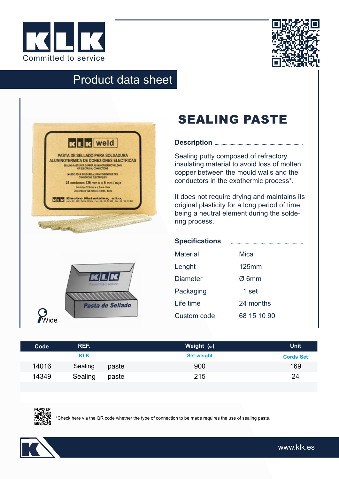



## Product data sheet

| PASTA DE SELLADO PARA SOLDADURA<br><b>ALUMINOTERMICA DE CONEXIONES ELECTRICAS</b>                                                                                                                                                    |
|--------------------------------------------------------------------------------------------------------------------------------------------------------------------------------------------------------------------------------------|
| SEALING PASTE FOR COPPER ALUMNOTHERMIC WELDING<br>OF ELECTRICAL CONNECTIONS                                                                                                                                                          |
| MASTIC POUR SOUDURE ALUMNOTHERMOUE DES<br><b>COMMERONS ÉLECTRIQUES</b>                                                                                                                                                               |
| 24 cordones 125 mm x o 6 mm / caja<br>24 strips 125 mm x o 6 mm / box<br>24 cordons 125 mm x + 6 mm / bolts                                                                                                                          |
| <b>KIR Electro Materiales, s.l.u.</b><br><b>KIR</b> <i>localization politics with the section</i>                                                                                                                                    |
| <b>Local Contract of the Contract of the Contract of the Contract of the Contract of the Contract of the Contract of the Contract of the Contract of the Contract of the Contract of the Contract of the Contract of the Contrac</b> |
| Communitied to service                                                                                                                                                                                                               |
|                                                                                                                                                                                                                                      |
|                                                                                                                                                                                                                                      |

## SEALING PASTE

#### **Description**

Sealing putty composed of refractory insulating material to avoid loss of molten copper between the mould walls and the conductors in the exothermic process\*.

It does not require drying and maintains its original plasticity for a long period of time, being a neutral element during the soldering process.

| <b>Specifications</b> |                   |  |
|-----------------------|-------------------|--|
| <b>Material</b>       | Mica              |  |
| Lenght                | $125$ mm          |  |
| <b>Diameter</b>       | $\varnothing$ 6mm |  |
| Packaging             | 1 set             |  |
| Life time             | 24 months         |  |
| Custom code           | 68 15 10 90       |  |

| Code  | REF.       |       | Weight (Gr)       | <b>Unit</b>      |
|-------|------------|-------|-------------------|------------------|
|       | <b>KLK</b> |       | <b>Set weight</b> | <b>Cords Set</b> |
| 14016 | Sealing    | paste | 900               | 169              |
| 14349 | Sealing    | paste | 215               | 24               |
|       |            |       |                   |                  |



\*Check here via the QR code whether the type of connection to be made requires the use of sealing paste.